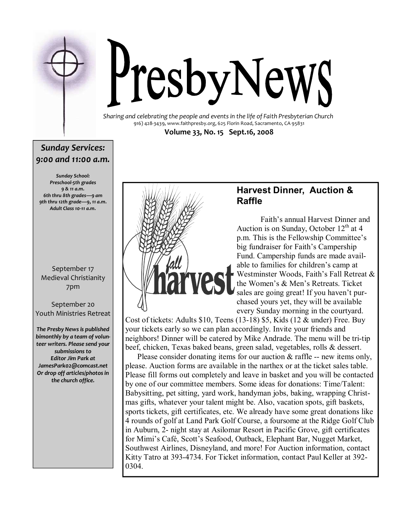

# PresbyNewS

Sharing and celebrating the people and events in the life of Faith Presbyterian Church 916) 428-3439, www.faithpresby.org, 625 Florin Road, Sacramento, CA 95831 Volume 33, No. 15 Sept.16, 2008

### Sunday Services: 9:00 and 11:00 a.m.

Sunday School: Preschool-5th grades 9 & 11 a.m. 6th thru 8th grades—9 am 9th thru 12th grade—9, 11 a.m. Adult Class 10-11 a.m.

### September 17 Medieval Christianity 7pm

September 20 Youth Ministries Retreat

The Presby News is published bimonthly by a team of volunteer writers. Please send your submissions to Editor Jim Park at JamesPark02@comcast.net Or drop off articles/photos in the church office.



### Harvest Dinner, Auction & Raffle

 Faith's annual Harvest Dinner and Auction is on Sunday, October  $12<sup>th</sup>$  at 4 p.m. This is the Fellowship Committee's big fundraiser for Faith's Campership Fund. Campership funds are made available to families for children's camp at Westminster Woods, Faith's Fall Retreat & the Women's & Men's Retreats. Ticket sales are going great! If you haven't purchased yours yet, they will be available every Sunday morning in the courtyard.

Cost of tickets: Adults \$10, Teens (13-18) \$5, Kids (12 & under) Free. Buy your tickets early so we can plan accordingly. Invite your friends and neighbors! Dinner will be catered by Mike Andrade. The menu will be tri-tip beef, chicken, Texas baked beans, green salad, vegetables, rolls & dessert.

Please consider donating items for our auction  $\&$  raffle -- new items only, please. Auction forms are available in the narthex or at the ticket sales table. Please fill forms out completely and leave in basket and you will be contacted by one of our committee members. Some ideas for donations: Time/Talent: Babysitting, pet sitting, yard work, handyman jobs, baking, wrapping Christmas gifts, whatever your talent might be. Also, vacation spots, gift baskets, sports tickets, gift certificates, etc. We already have some great donations like 4 rounds of golf at Land Park Golf Course, a foursome at the Ridge Golf Club in Auburn, 2- night stay at Asilomar Resort in Pacific Grove, gift certificates for Mimi's Café, Scott's Seafood, Outback, Elephant Bar, Nugget Market, Southwest Airlines, Disneyland, and more! For Auction information, contact Kitty Tatro at 393-4734. For Ticket information, contact Paul Keller at 392- 0304.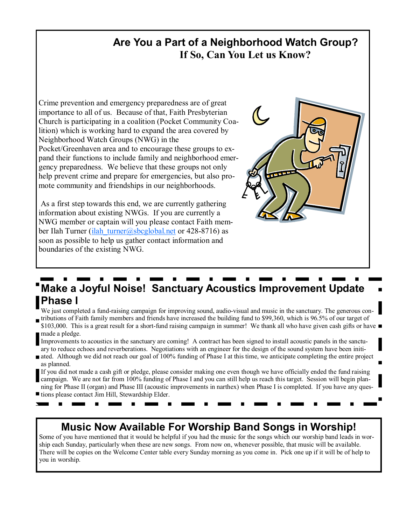### Are You a Part of a Neighborhood Watch Group? If So, Can You Let us Know?

Crime prevention and emergency preparedness are of great importance to all of us. Because of that, Faith Presbyterian Church is participating in a coalition (Pocket Community Coalition) which is working hard to expand the area covered by Neighborhood Watch Groups (NWG) in the Pocket/Greenhaven area and to encourage these groups to expand their functions to include family and neighborhood emergency preparedness. We believe that these groups not only help prevent crime and prepare for emergencies, but also promote community and friendships in our neighborhoods.

 As a first step towards this end, we are currently gathering information about existing NWGs. If you are currently a NWG member or captain will you please contact Faith member Ilah Turner (ilah turner@sbcglobal.net or 428-8716) as soon as possible to help us gather contact information and boundaries of the existing NWG.



# Make a Joyful Noise! Sanctuary Acoustics Improvement Update Phase I

We just completed a fund-raising campaign for improving sound, audio-visual and music in the sanctuary. The generous contributions of Faith family members and friends have increased the building fund to \$99,360, which is 96.5% of our target of \$103,000. This is a great result for a short-fund raising campaign in summer! We thank all who have given cash gifts or have

made a pledge.

Improvements to acoustics in the sanctuary are coming! A contract has been signed to install acoustic panels in the sanctuary to reduce echoes and reverberations. Negotiations with an engineer for the design of the sound system have been initi-

ated. Although we did not reach our goal of 100% funding of Phase I at this time, we anticipate completing the entire project as planned.

If you did not made a cash gift or pledge, please consider making one even though we have officially ended the fund raising campaign. We are not far from 100% funding of Phase I and you can still help us reach this target. Session will begin planning for Phase II (organ) and Phase III (acoustic improvements in narthex) when Phase I is completed. If you have any ques-

tions please contact Jim Hill, Stewardship Elder.

## Music Now Available For Worship Band Songs in Worship!

Some of you have mentioned that it would be helpful if you had the music for the songs which our worship band leads in worship each Sunday, particularly when these are new songs. From now on, whenever possible, that music will be available. There will be copies on the Welcome Center table every Sunday morning as you come in. Pick one up if it will be of help to you in worship.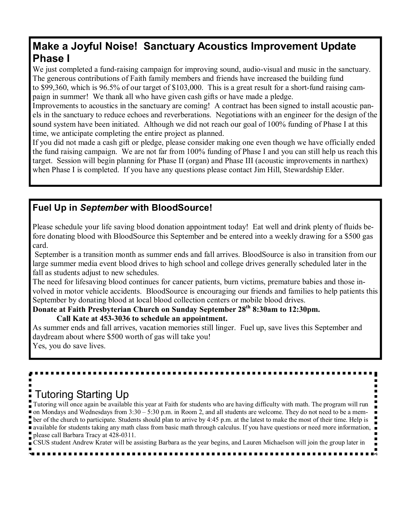## Make a Joyful Noise! Sanctuary Acoustics Improvement Update Phase I

We just completed a fund-raising campaign for improving sound, audio-visual and music in the sanctuary. The generous contributions of Faith family members and friends have increased the building fund to \$99,360, which is 96.5% of our target of \$103,000. This is a great result for a short-fund raising campaign in summer! We thank all who have given cash gifts or have made a pledge.

Improvements to acoustics in the sanctuary are coming! A contract has been signed to install acoustic panels in the sanctuary to reduce echoes and reverberations. Negotiations with an engineer for the design of the sound system have been initiated. Although we did not reach our goal of 100% funding of Phase I at this time, we anticipate completing the entire project as planned.

If you did not made a cash gift or pledge, please consider making one even though we have officially ended the fund raising campaign. We are not far from 100% funding of Phase I and you can still help us reach this target. Session will begin planning for Phase II (organ) and Phase III (acoustic improvements in narthex) when Phase I is completed. If you have any questions please contact Jim Hill, Stewardship Elder.

### Fuel Up in September with BloodSource!

Please schedule your life saving blood donation appointment today! Eat well and drink plenty of fluids before donating blood with BloodSource this September and be entered into a weekly drawing for a \$500 gas card.

 September is a transition month as summer ends and fall arrives. BloodSource is also in transition from our large summer media event blood drives to high school and college drives generally scheduled later in the fall as students adjust to new schedules.

The need for lifesaving blood continues for cancer patients, burn victims, premature babies and those involved in motor vehicle accidents. BloodSource is encouraging our friends and families to help patients this September by donating blood at local blood collection centers or mobile blood drives.

## Donate at Faith Presbyterian Church on Sunday September 28<sup>th</sup> 8:30am to 12:30pm.

Call Kate at 453-3036 to schedule an appointment.

As summer ends and fall arrives, vacation memories still linger. Fuel up, save lives this September and daydream about where \$500 worth of gas will take you! Yes, you do save lives.

# Tutoring Starting Up

Tutoring will once again be available this year at Faith for students who are having difficulty with math. The program will run on Mondays and Wednesdays from  $3:30 - 5:30$  p.m. in Room 2, and all students are welcome. They do not need to be a member of the church to participate. Students should plan to arrive by 4:45 p.m. at the latest to make the most of their time. Help is **a** available for students taking any math class from basic math through calculus. If you have questions or need more information,  $\overline{\phantom{a}}$ please call Barbara Tracy at 428-0311.

CSUS student Andrew Krater will be assisting Barbara as the year begins, and Lauren Michaelson will join the group later in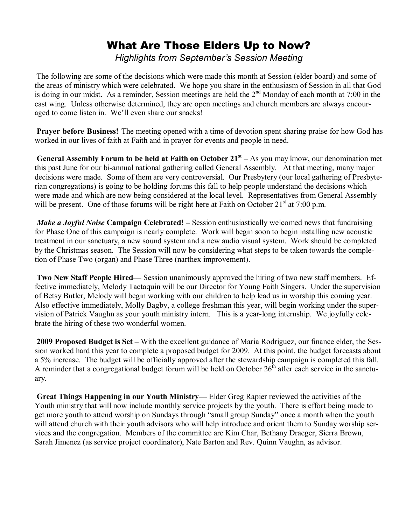# What Are Those Elders Up to Now?

Highlights from September's Session Meeting

The following are some of the decisions which were made this month at Session (elder board) and some of the areas of ministry which were celebrated. We hope you share in the enthusiasm of Session in all that God is doing in our midst. As a reminder, Session meetings are held the 2<sup>nd</sup> Monday of each month at 7:00 in the east wing. Unless otherwise determined, they are open meetings and church members are always encouraged to come listen in. We'll even share our snacks!

Prayer before Business! The meeting opened with a time of devotion spent sharing praise for how God has worked in our lives of faith at Faith and in prayer for events and people in need.

**General Assembly Forum to be held at Faith on October 21**<sup>st</sup> – As you may know, our denomination met this past June for our bi-annual national gathering called General Assembly. At that meeting, many major decisions were made. Some of them are very controversial. Our Presbytery (our local gathering of Presbyterian congregations) is going to be holding forums this fall to help people understand the decisions which were made and which are now being considered at the local level. Representatives from General Assembly will be present. One of those forums will be right here at Faith on October  $21<sup>st</sup>$  at 7:00 p.m.

*Make a Joyful Noise* Campaign Celebrated!  $-$  Session enthusiastically welcomed news that fundraising for Phase One of this campaign is nearly complete. Work will begin soon to begin installing new acoustic treatment in our sanctuary, a new sound system and a new audio visual system. Work should be completed by the Christmas season. The Session will now be considering what steps to be taken towards the completion of Phase Two (organ) and Phase Three (narthex improvement).

**Two New Staff People Hired—** Session unanimously approved the hiring of two new staff members. Effective immediately, Melody Tactaquin will be our Director for Young Faith Singers. Under the supervision of Betsy Butler, Melody will begin working with our children to help lead us in worship this coming year. Also effective immediately, Molly Bagby, a college freshman this year, will begin working under the supervision of Patrick Vaughn as your youth ministry intern. This is a year-long internship. We joyfully celebrate the hiring of these two wonderful women.

2009 Proposed Budget is Set – With the excellent guidance of Maria Rodriguez, our finance elder, the Session worked hard this year to complete a proposed budget for 2009. At this point, the budget forecasts about a 5% increase. The budget will be officially approved after the stewardship campaign is completed this fall. A reminder that a congregational budget forum will be held on October  $26<sup>th</sup>$  after each service in the sanctuary.

Great Things Happening in our Youth Ministry— Elder Greg Rapier reviewed the activities of the Youth ministry that will now include monthly service projects by the youth. There is effort being made to get more youth to attend worship on Sundays through "small group Sunday" once a month when the youth will attend church with their youth advisors who will help introduce and orient them to Sunday worship services and the congregation. Members of the committee are Kim Char, Bethany Draeger, Sierra Brown, Sarah Jimenez (as service project coordinator), Nate Barton and Rev. Quinn Vaughn, as advisor.